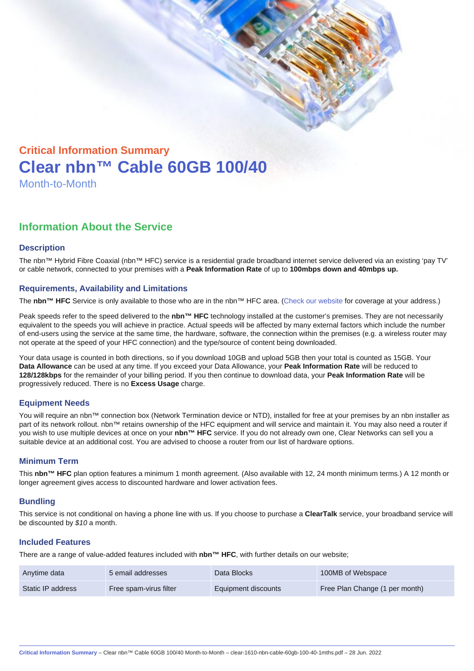# Critical Information Summary Clear nbn™ Cable 60GB 100/40 Month-to-Month

## Information About the Service

#### **Description**

The nbn™ Hybrid Fibre Coaxial (nbn™ HFC) service is a residential grade broadband internet service delivered via an existing 'pay TV' or cable network, connected to your premises with a Peak Information Rate of up to 100mbps down and 40mbps up.

#### Requirements, Availability and Limitations

The nbn™ HFC Service is only available to those who are in the nbn™ HFC area. ([Check our website](https://www.clear.com.au/residential/nbn-fixed/) for coverage at your address.)

Peak speeds refer to the speed delivered to the nbn™ HFC technology installed at the customer's premises. They are not necessarily equivalent to the speeds you will achieve in practice. Actual speeds will be affected by many external factors which include the number of end-users using the service at the same time, the hardware, software, the connection within the premises (e.g. a wireless router may not operate at the speed of your HFC connection) and the type/source of content being downloaded.

Your data usage is counted in both directions, so if you download 10GB and upload 5GB then your total is counted as 15GB. Your Data Allowance can be used at any time. If you exceed your Data Allowance, your Peak Information Rate will be reduced to 128/128kbps for the remainder of your billing period. If you then continue to download data, your Peak Information Rate will be progressively reduced. There is no Excess Usage charge.

#### Equipment Needs

You will require an nbn™ connection box (Network Termination device or NTD), installed for free at your premises by an nbn installer as part of its network rollout. nbn™ retains ownership of the HFC equipment and will service and maintain it. You may also need a router if .<br>you wish to use multiple devices at once on your nbn™ HFC service. If you do not already own one, Clear Networks can sell you a suitable device at an additional cost. You are advised to choose a router from our list of hardware options.

#### Minimum Term

This nbn™ HFC plan option features a minimum 1 month agreement. (Also available with 12, 24 month minimum terms.) A 12 month or longer agreement gives access to discounted hardware and lower activation fees.

#### **Bundling**

This service is not conditional on having a phone line with us. If you choose to purchase a ClearTalk service, your broadband service will be discounted by \$10 a month.

#### Included Features

There are a range of value-added features included with nbn™ HFC , with further details on our website;

| Anytime data      | 5 email addresses      | Data Blocks         | 100MB of Webspace              |
|-------------------|------------------------|---------------------|--------------------------------|
| Static IP address | Free spam-virus filter | Equipment discounts | Free Plan Change (1 per month) |